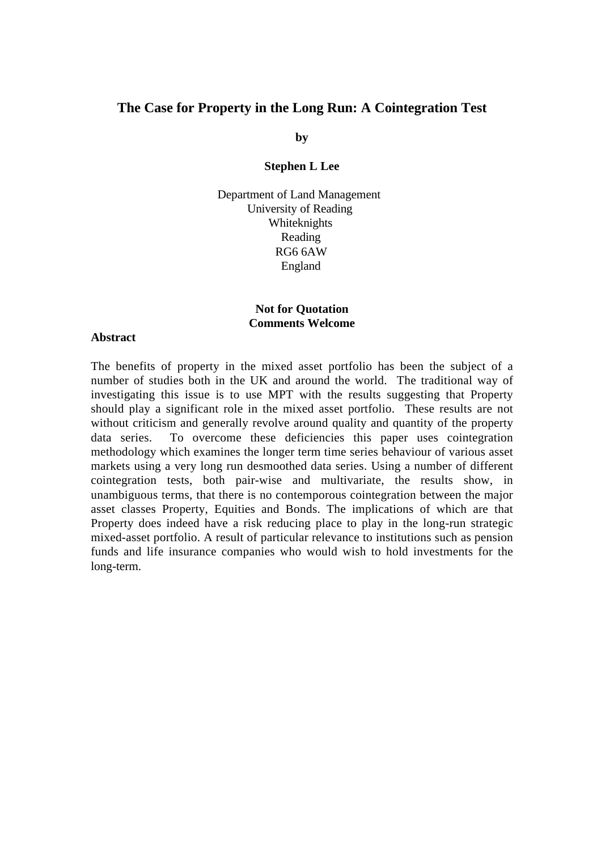# **The Case for Property in the Long Run: A Cointegration Test**

**by**

#### **Stephen L Lee**

Department of Land Management University of Reading Whiteknights Reading RG6 6AW England

# **Not for Quotation Comments Welcome**

#### **Abstract**

The benefits of property in the mixed asset portfolio has been the subject of a number of studies both in the UK and around the world. The traditional way of investigating this issue is to use MPT with the results suggesting that Property should play a significant role in the mixed asset portfolio. These results are not without criticism and generally revolve around quality and quantity of the property data series. To overcome these deficiencies this paper uses cointegration methodology which examines the longer term time series behaviour of various asset markets using a very long run desmoothed data series. Using a number of different cointegration tests, both pair-wise and multivariate, the results show, in unambiguous terms, that there is no contemporous cointegration between the major asset classes Property, Equities and Bonds. The implications of which are that Property does indeed have a risk reducing place to play in the long-run strategic mixed-asset portfolio. A result of particular relevance to institutions such as pension funds and life insurance companies who would wish to hold investments for the long-term.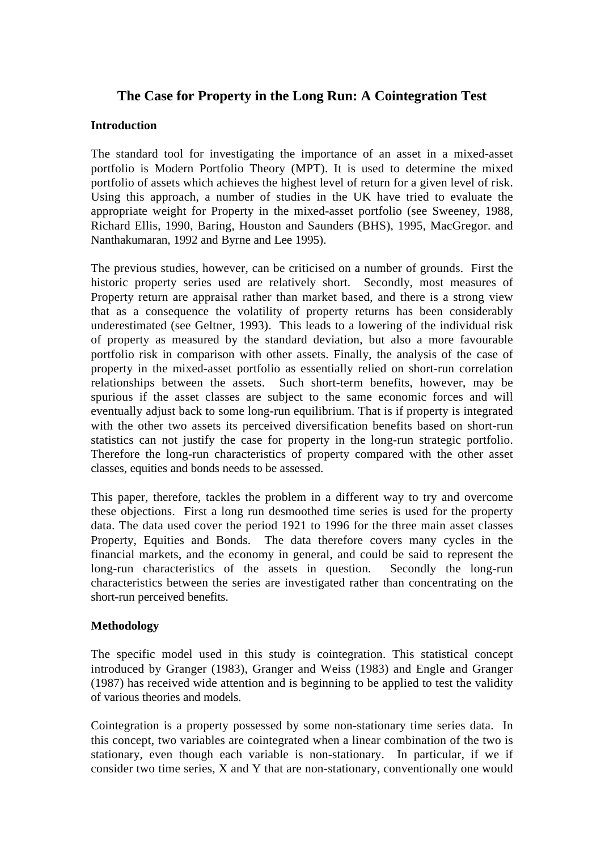# **The Case for Property in the Long Run: A Cointegration Test**

# **Introduction**

The standard tool for investigating the importance of an asset in a mixed-asset portfolio is Modern Portfolio Theory (MPT). It is used to determine the mixed portfolio of assets which achieves the highest level of return for a given level of risk. Using this approach, a number of studies in the UK have tried to evaluate the appropriate weight for Property in the mixed-asset portfolio (see Sweeney, 1988, Richard Ellis, 1990, Baring, Houston and Saunders (BHS), 1995, MacGregor. and Nanthakumaran, 1992 and Byrne and Lee 1995).

The previous studies, however, can be criticised on a number of grounds. First the historic property series used are relatively short. Secondly, most measures of Property return are appraisal rather than market based, and there is a strong view that as a consequence the volatility of property returns has been considerably underestimated (see Geltner, 1993). This leads to a lowering of the individual risk of property as measured by the standard deviation, but also a more favourable portfolio risk in comparison with other assets. Finally, the analysis of the case of property in the mixed-asset portfolio as essentially relied on short-run correlation relationships between the assets. Such short-term benefits, however, may be spurious if the asset classes are subject to the same economic forces and will eventually adjust back to some long-run equilibrium. That is if property is integrated with the other two assets its perceived diversification benefits based on short-run statistics can not justify the case for property in the long-run strategic portfolio. Therefore the long-run characteristics of property compared with the other asset classes, equities and bonds needs to be assessed.

This paper, therefore, tackles the problem in a different way to try and overcome these objections. First a long run desmoothed time series is used for the property data. The data used cover the period 1921 to 1996 for the three main asset classes Property, Equities and Bonds. The data therefore covers many cycles in the financial markets, and the economy in general, and could be said to represent the long-run characteristics of the assets in question. Secondly the long-run characteristics between the series are investigated rather than concentrating on the short-run perceived benefits.

# **Methodology**

The specific model used in this study is cointegration. This statistical concept introduced by Granger (1983), Granger and Weiss (1983) and Engle and Granger (1987) has received wide attention and is beginning to be applied to test the validity of various theories and models.

Cointegration is a property possessed by some non-stationary time series data. In this concept, two variables are cointegrated when a linear combination of the two is stationary, even though each variable is non-stationary. In particular, if we if consider two time series, X and Y that are non-stationary, conventionally one would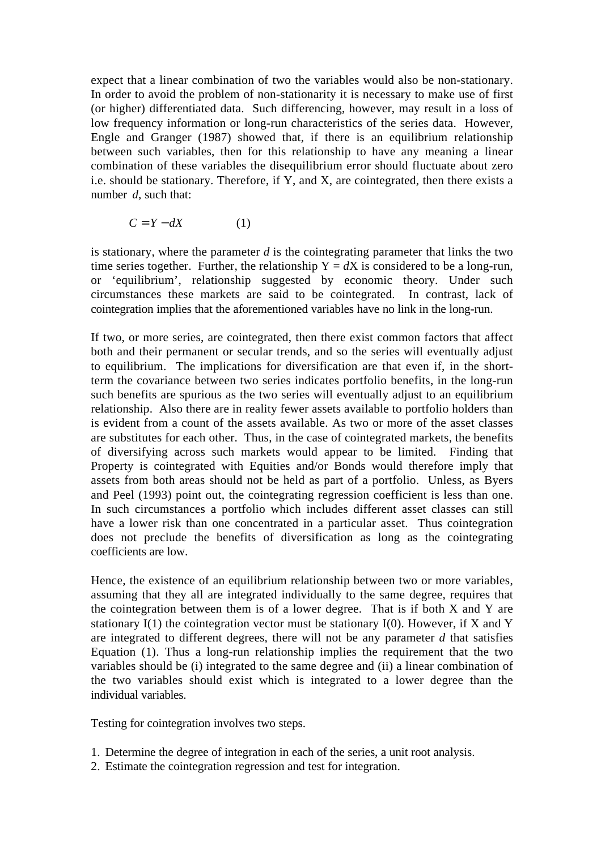expect that a linear combination of two the variables would also be non-stationary. In order to avoid the problem of non-stationarity it is necessary to make use of first (or higher) differentiated data. Such differencing, however, may result in a loss of low frequency information or long-run characteristics of the series data. However, Engle and Granger (1987) showed that, if there is an equilibrium relationship between such variables, then for this relationship to have any meaning a linear combination of these variables the disequilibrium error should fluctuate about zero i.e. should be stationary. Therefore, if Y, and X, are cointegrated, then there exists a number *d*, such that:

 $C = Y - dX$  (1)

is stationary, where the parameter *d* is the cointegrating parameter that links the two time series together. Further, the relationship  $Y = dX$  is considered to be a long-run, or 'equilibrium', relationship suggested by economic theory. Under such circumstances these markets are said to be cointegrated. In contrast, lack of cointegration implies that the aforementioned variables have no link in the long-run.

If two, or more series, are cointegrated, then there exist common factors that affect both and their permanent or secular trends, and so the series will eventually adjust to equilibrium. The implications for diversification are that even if, in the shortterm the covariance between two series indicates portfolio benefits, in the long-run such benefits are spurious as the two series will eventually adjust to an equilibrium relationship. Also there are in reality fewer assets available to portfolio holders than is evident from a count of the assets available. As two or more of the asset classes are substitutes for each other. Thus, in the case of cointegrated markets, the benefits of diversifying across such markets would appear to be limited. Finding that Property is cointegrated with Equities and/or Bonds would therefore imply that assets from both areas should not be held as part of a portfolio. Unless, as Byers and Peel (1993) point out, the cointegrating regression coefficient is less than one. In such circumstances a portfolio which includes different asset classes can still have a lower risk than one concentrated in a particular asset. Thus cointegration does not preclude the benefits of diversification as long as the cointegrating coefficients are low.

Hence, the existence of an equilibrium relationship between two or more variables, assuming that they all are integrated individually to the same degree, requires that the cointegration between them is of a lower degree. That is if both X and Y are stationary  $I(1)$  the cointegration vector must be stationary  $I(0)$ . However, if X and Y are integrated to different degrees, there will not be any parameter *d* that satisfies Equation (1). Thus a long-run relationship implies the requirement that the two variables should be (i) integrated to the same degree and (ii) a linear combination of the two variables should exist which is integrated to a lower degree than the individual variables.

Testing for cointegration involves two steps.

- 1. Determine the degree of integration in each of the series, a unit root analysis.
- 2. Estimate the cointegration regression and test for integration.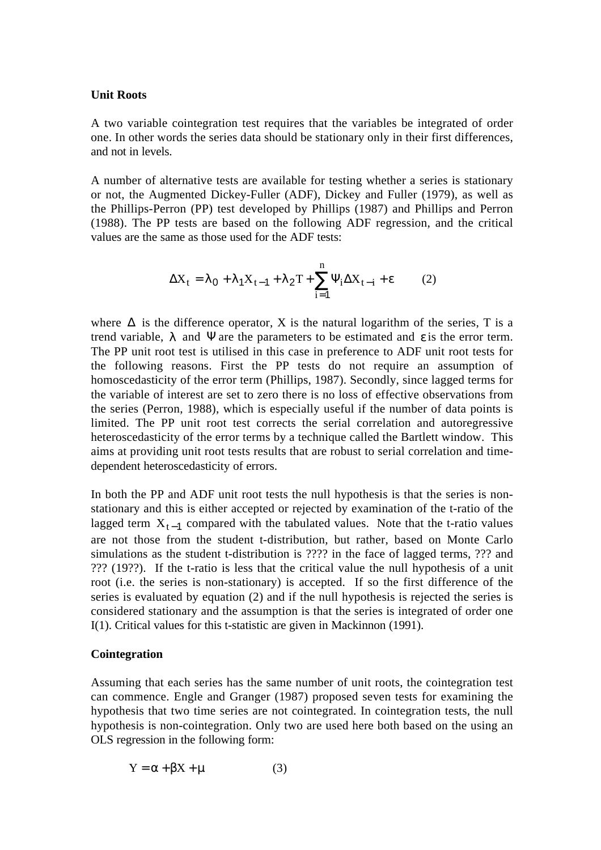### **Unit Roots**

A two variable cointegration test requires that the variables be integrated of order one. In other words the series data should be stationary only in their first differences, and not in levels.

A number of alternative tests are available for testing whether a series is stationary or not, the Augmented Dickey-Fuller (ADF), Dickey and Fuller (1979), as well as the Phillips-Perron (PP) test developed by Phillips (1987) and Phillips and Perron (1988). The PP tests are based on the following ADF regression, and the critical values are the same as those used for the ADF tests:

$$
\Delta X_t = \lambda_0 + \lambda_1 X_{t-1} + \lambda_2 T + \sum_{i=1}^n \Psi_i \Delta X_{t-i} + \varepsilon \tag{2}
$$

where  $\Delta$  is the difference operator, X is the natural logarithm of the series, T is a trend variable,  $\lambda$  and  $\Psi$  are the parameters to be estimated and  $\varepsilon$  is the error term. The PP unit root test is utilised in this case in preference to ADF unit root tests for the following reasons. First the PP tests do not require an assumption of homoscedasticity of the error term (Phillips, 1987). Secondly, since lagged terms for the variable of interest are set to zero there is no loss of effective observations from the series (Perron, 1988), which is especially useful if the number of data points is limited. The PP unit root test corrects the serial correlation and autoregressive heteroscedasticity of the error terms by a technique called the Bartlett window. This aims at providing unit root tests results that are robust to serial correlation and timedependent heteroscedasticity of errors.

In both the PP and ADF unit root tests the null hypothesis is that the series is nonstationary and this is either accepted or rejected by examination of the t-ratio of the lagged term  $X_{t-1}$  compared with the tabulated values. Note that the t-ratio values are not those from the student t-distribution, but rather, based on Monte Carlo simulations as the student t-distribution is ???? in the face of lagged terms, ??? and ??? (19??). If the t-ratio is less that the critical value the null hypothesis of a unit root (i.e. the series is non-stationary) is accepted. If so the first difference of the series is evaluated by equation (2) and if the null hypothesis is rejected the series is considered stationary and the assumption is that the series is integrated of order one I(1). Critical values for this t-statistic are given in Mackinnon (1991).

### **Cointegration**

Assuming that each series has the same number of unit roots, the cointegration test can commence. Engle and Granger (1987) proposed seven tests for examining the hypothesis that two time series are not cointegrated. In cointegration tests, the null hypothesis is non-cointegration. Only two are used here both based on the using an OLS regression in the following form:

$$
Y = \alpha + \beta X + \mu \tag{3}
$$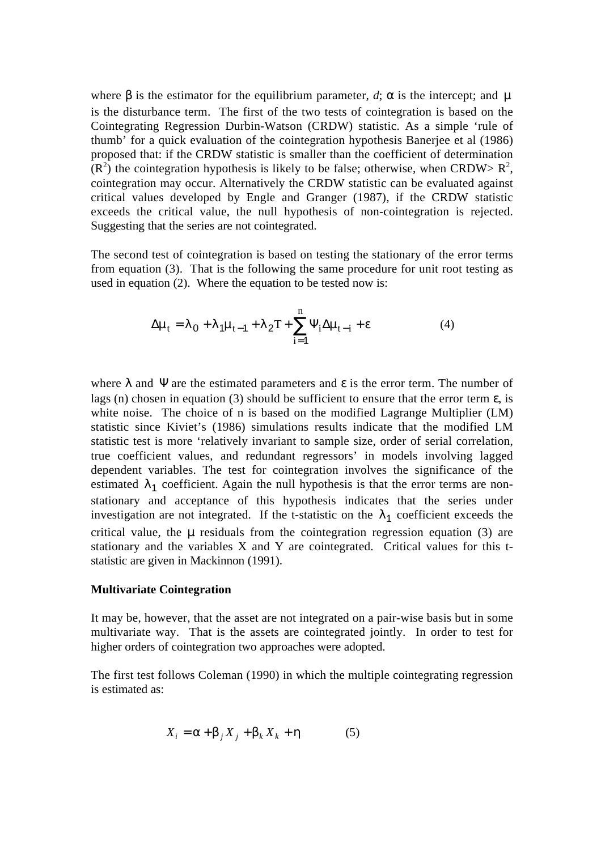where  $\beta$  is the estimator for the equilibrium parameter, *d*;  $\alpha$  is the intercept; and  $\mu$ is the disturbance term. The first of the two tests of cointegration is based on the Cointegrating Regression Durbin-Watson (CRDW) statistic. As a simple 'rule of thumb' for a quick evaluation of the cointegration hypothesis Banerjee et al (1986) proposed that: if the CRDW statistic is smaller than the coefficient of determination  $(R<sup>2</sup>)$  the cointegration hypothesis is likely to be false; otherwise, when CRDW>  $R<sup>2</sup>$ , cointegration may occur. Alternatively the CRDW statistic can be evaluated against critical values developed by Engle and Granger (1987), if the CRDW statistic exceeds the critical value, the null hypothesis of non-cointegration is rejected. Suggesting that the series are not cointegrated.

The second test of cointegration is based on testing the stationary of the error terms from equation (3). That is the following the same procedure for unit root testing as used in equation (2). Where the equation to be tested now is:

$$
\Delta \mu_t = \lambda_0 + \lambda_1 \mu_{t-1} + \lambda_2 T + \sum_{i=1}^n \Psi_i \Delta \mu_{t-i} + \varepsilon
$$
\n(4)

where  $\lambda$  and  $\Psi$  are the estimated parameters and  $\varepsilon$  is the error term. The number of lags (n) chosen in equation (3) should be sufficient to ensure that the error term  $\varepsilon$ , is white noise. The choice of n is based on the modified Lagrange Multiplier (LM) statistic since Kiviet's (1986) simulations results indicate that the modified LM statistic test is more 'relatively invariant to sample size, order of serial correlation, true coefficient values, and redundant regressors' in models involving lagged dependent variables. The test for cointegration involves the significance of the estimated  $\lambda_1$  coefficient. Again the null hypothesis is that the error terms are nonstationary and acceptance of this hypothesis indicates that the series under investigation are not integrated. If the t-statistic on the  $\lambda_1$  coefficient exceeds the critical value, the  $\mu$  residuals from the cointegration regression equation (3) are stationary and the variables X and Y are cointegrated. Critical values for this tstatistic are given in Mackinnon (1991).

#### **Multivariate Cointegration**

It may be, however, that the asset are not integrated on a pair-wise basis but in some multivariate way. That is the assets are cointegrated jointly. In order to test for higher orders of cointegration two approaches were adopted.

The first test follows Coleman (1990) in which the multiple cointegrating regression is estimated as:

$$
X_i = \alpha + \beta_j X_j + \beta_k X_k + \eta \tag{5}
$$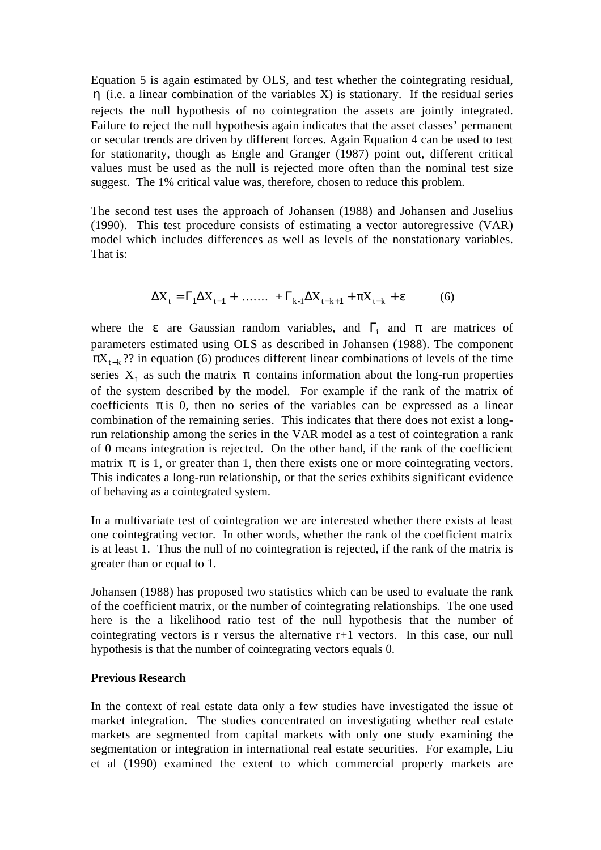Equation 5 is again estimated by OLS, and test whether the cointegrating residual, η (i.e. a linear combination of the variables X) is stationary. If the residual series rejects the null hypothesis of no cointegration the assets are jointly integrated. Failure to reject the null hypothesis again indicates that the asset classes' permanent or secular trends are driven by different forces. Again Equation 4 can be used to test for stationarity, though as Engle and Granger (1987) point out, different critical values must be used as the null is rejected more often than the nominal test size suggest. The 1% critical value was, therefore, chosen to reduce this problem.

The second test uses the approach of Johansen (1988) and Johansen and Juselius (1990). This test procedure consists of estimating a vector autoregressive (VAR) model which includes differences as well as levels of the nonstationary variables. That is:

$$
\Delta X_t = \Gamma_1 \Delta X_{t-1} + \dots + \Gamma_{k-1} \Delta X_{t-k+1} + \pi X_{t-k} + \varepsilon \tag{6}
$$

where the  $\varepsilon$  are Gaussian random variables, and  $\Gamma$ <sub>i</sub> and  $\pi$  are matrices of parameters estimated using OLS as described in Johansen (1988). The component  $\pi X_{t-k}$ ?? in equation (6) produces different linear combinations of levels of the time series  $X_t$  as such the matrix  $\pi$  contains information about the long-run properties of the system described by the model. For example if the rank of the matrix of coefficients  $\pi$  is 0, then no series of the variables can be expressed as a linear combination of the remaining series. This indicates that there does not exist a longrun relationship among the series in the VAR model as a test of cointegration a rank of 0 means integration is rejected. On the other hand, if the rank of the coefficient matrix  $\pi$  is 1, or greater than 1, then there exists one or more cointegrating vectors. This indicates a long-run relationship, or that the series exhibits significant evidence of behaving as a cointegrated system.

In a multivariate test of cointegration we are interested whether there exists at least one cointegrating vector. In other words, whether the rank of the coefficient matrix is at least 1. Thus the null of no cointegration is rejected, if the rank of the matrix is greater than or equal to 1.

Johansen (1988) has proposed two statistics which can be used to evaluate the rank of the coefficient matrix, or the number of cointegrating relationships. The one used here is the a likelihood ratio test of the null hypothesis that the number of cointegrating vectors is r versus the alternative r+1 vectors. In this case, our null hypothesis is that the number of cointegrating vectors equals 0.

#### **Previous Research**

In the context of real estate data only a few studies have investigated the issue of market integration. The studies concentrated on investigating whether real estate markets are segmented from capital markets with only one study examining the segmentation or integration in international real estate securities. For example, Liu et al (1990) examined the extent to which commercial property markets are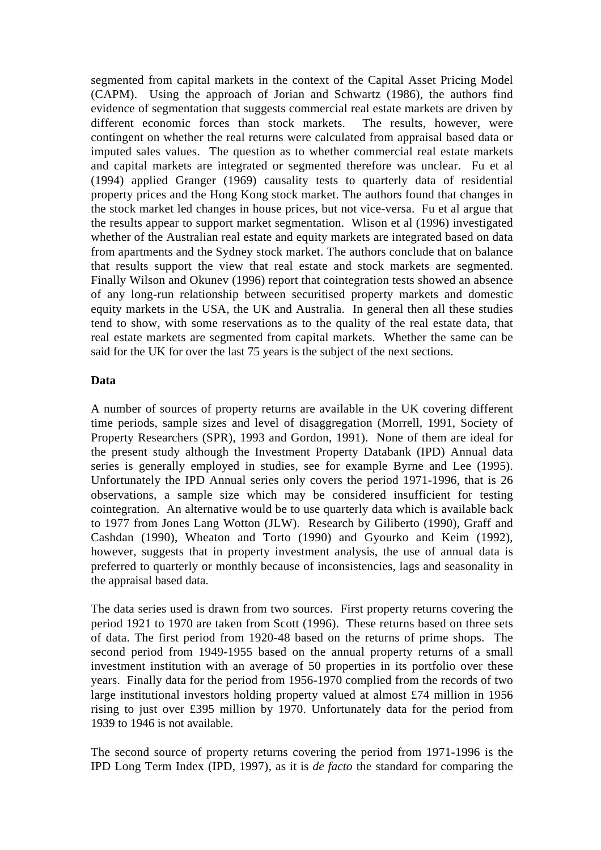segmented from capital markets in the context of the Capital Asset Pricing Model (CAPM). Using the approach of Jorian and Schwartz (1986), the authors find evidence of segmentation that suggests commercial real estate markets are driven by different economic forces than stock markets. The results, however, were contingent on whether the real returns were calculated from appraisal based data or imputed sales values. The question as to whether commercial real estate markets and capital markets are integrated or segmented therefore was unclear. Fu et al (1994) applied Granger (1969) causality tests to quarterly data of residential property prices and the Hong Kong stock market. The authors found that changes in the stock market led changes in house prices, but not vice-versa. Fu et al argue that the results appear to support market segmentation. Wlison et al (1996) investigated whether of the Australian real estate and equity markets are integrated based on data from apartments and the Sydney stock market. The authors conclude that on balance that results support the view that real estate and stock markets are segmented. Finally Wilson and Okunev (1996) report that cointegration tests showed an absence of any long-run relationship between securitised property markets and domestic equity markets in the USA, the UK and Australia. In general then all these studies tend to show, with some reservations as to the quality of the real estate data, that real estate markets are segmented from capital markets. Whether the same can be said for the UK for over the last 75 years is the subject of the next sections.

### **Data**

A number of sources of property returns are available in the UK covering different time periods, sample sizes and level of disaggregation (Morrell, 1991, Society of Property Researchers (SPR), 1993 and Gordon, 1991). None of them are ideal for the present study although the Investment Property Databank (IPD) Annual data series is generally employed in studies, see for example Byrne and Lee (1995). Unfortunately the IPD Annual series only covers the period 1971-1996, that is 26 observations, a sample size which may be considered insufficient for testing cointegration. An alternative would be to use quarterly data which is available back to 1977 from Jones Lang Wotton (JLW). Research by Giliberto (1990), Graff and Cashdan (1990), Wheaton and Torto (1990) and Gyourko and Keim (1992), however, suggests that in property investment analysis, the use of annual data is preferred to quarterly or monthly because of inconsistencies, lags and seasonality in the appraisal based data.

The data series used is drawn from two sources. First property returns covering the period 1921 to 1970 are taken from Scott (1996). These returns based on three sets of data. The first period from 1920-48 based on the returns of prime shops. The second period from 1949-1955 based on the annual property returns of a small investment institution with an average of 50 properties in its portfolio over these years. Finally data for the period from 1956-1970 complied from the records of two large institutional investors holding property valued at almost £74 million in 1956 rising to just over £395 million by 1970. Unfortunately data for the period from 1939 to 1946 is not available.

The second source of property returns covering the period from 1971-1996 is the IPD Long Term Index (IPD, 1997), as it is *de facto* the standard for comparing the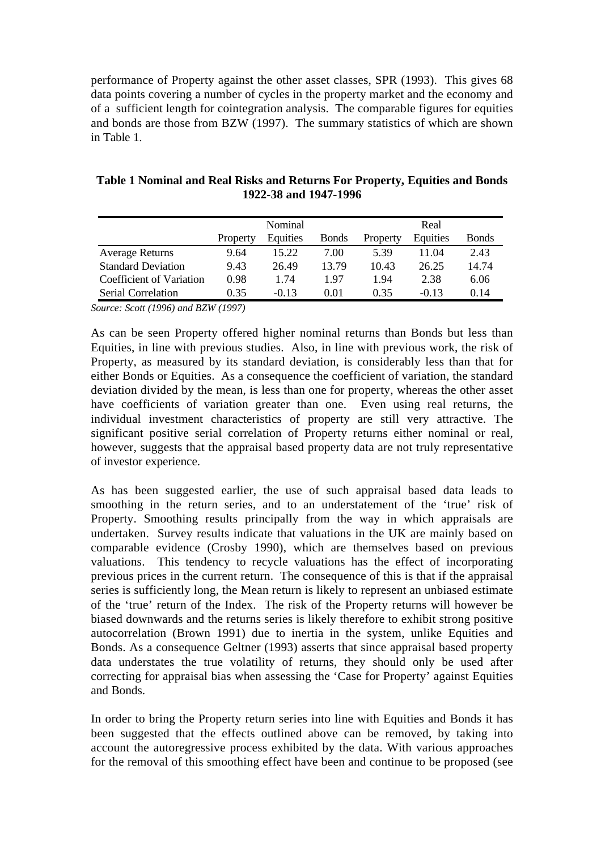performance of Property against the other asset classes, SPR (1993). This gives 68 data points covering a number of cycles in the property market and the economy and of a sufficient length for cointegration analysis. The comparable figures for equities and bonds are those from BZW (1997). The summary statistics of which are shown in Table 1.

**Table 1 Nominal and Real Risks and Returns For Property, Equities and Bonds 1922-38 and 1947-1996**

|                           | Nominal  |          |               | Real     |          |               |  |
|---------------------------|----------|----------|---------------|----------|----------|---------------|--|
|                           | Property | Equities | <b>B</b> onds | Property | Equities | <b>B</b> onds |  |
| <b>Average Returns</b>    | 9.64     | 15.22    | 7.00          | 5.39     | 11.04    | 2.43          |  |
| <b>Standard Deviation</b> | 9.43     | 26.49    | 13.79         | 10.43    | 26.25    | 14.74         |  |
| Coefficient of Variation  | 0.98     | 1.74     | 1.97          | 1.94     | 2.38     | 6.06          |  |
| Serial Correlation        | 0.35     | $-0.13$  | 0.01          | 0.35     | $-0.13$  | 0.14          |  |

*Source: Scott (1996) and BZW (1997)*

As can be seen Property offered higher nominal returns than Bonds but less than Equities, in line with previous studies. Also, in line with previous work, the risk of Property, as measured by its standard deviation, is considerably less than that for either Bonds or Equities. As a consequence the coefficient of variation, the standard deviation divided by the mean, is less than one for property, whereas the other asset have coefficients of variation greater than one. Even using real returns, the individual investment characteristics of property are still very attractive. The significant positive serial correlation of Property returns either nominal or real, however, suggests that the appraisal based property data are not truly representative of investor experience.

As has been suggested earlier, the use of such appraisal based data leads to smoothing in the return series, and to an understatement of the 'true' risk of Property. Smoothing results principally from the way in which appraisals are undertaken. Survey results indicate that valuations in the UK are mainly based on comparable evidence (Crosby 1990), which are themselves based on previous valuations. This tendency to recycle valuations has the effect of incorporating previous prices in the current return. The consequence of this is that if the appraisal series is sufficiently long, the Mean return is likely to represent an unbiased estimate of the 'true' return of the Index. The risk of the Property returns will however be biased downwards and the returns series is likely therefore to exhibit strong positive autocorrelation (Brown 1991) due to inertia in the system, unlike Equities and Bonds. As a consequence Geltner (1993) asserts that since appraisal based property data understates the true volatility of returns, they should only be used after correcting for appraisal bias when assessing the 'Case for Property' against Equities and Bonds.

In order to bring the Property return series into line with Equities and Bonds it has been suggested that the effects outlined above can be removed, by taking into account the autoregressive process exhibited by the data. With various approaches for the removal of this smoothing effect have been and continue to be proposed (see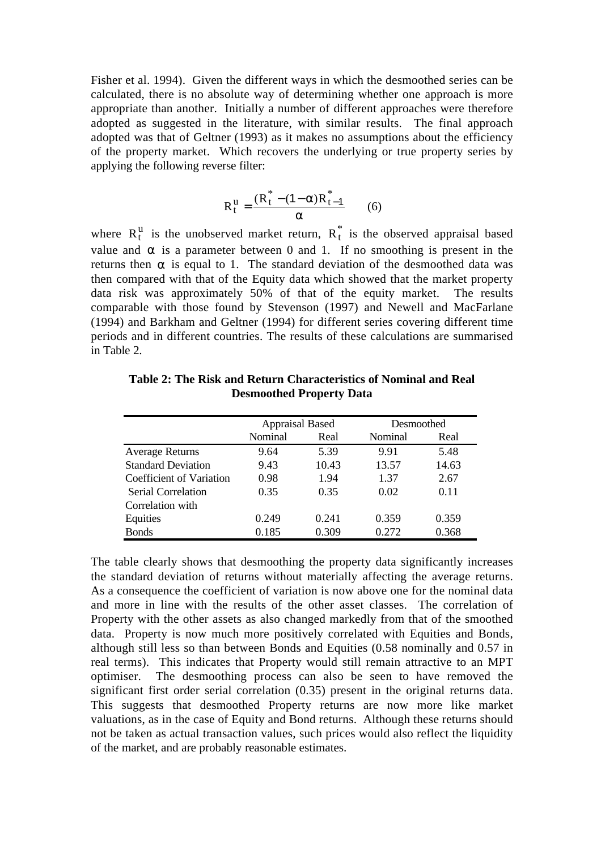Fisher et al. 1994). Given the different ways in which the desmoothed series can be calculated, there is no absolute way of determining whether one approach is more appropriate than another. Initially a number of different approaches were therefore adopted as suggested in the literature, with similar results. The final approach adopted was that of Geltner (1993) as it makes no assumptions about the efficiency of the property market. Which recovers the underlying or true property series by applying the following reverse filter:

$$
R_t^u = \frac{(R_t^* - (1 - \alpha)R_{t-1}^*}{\alpha} \qquad (6)
$$

where  $R_t^u$  is the unobserved market return,  $R_t^*$  is the observed appraisal based value and  $\alpha$  is a parameter between 0 and 1. If no smoothing is present in the returns then  $\alpha$  is equal to 1. The standard deviation of the desmoothed data was then compared with that of the Equity data which showed that the market property data risk was approximately 50% of that of the equity market. The results comparable with those found by Stevenson (1997) and Newell and MacFarlane (1994) and Barkham and Geltner (1994) for different series covering different time periods and in different countries. The results of these calculations are summarised in Table 2.

|                           | <b>Appraisal Based</b> |       | Desmoothed |       |
|---------------------------|------------------------|-------|------------|-------|
|                           | Nominal                | Real  | Nominal    | Real  |
| <b>Average Returns</b>    | 9.64                   | 5.39  | 9.91       | 5.48  |
| <b>Standard Deviation</b> | 9.43                   | 10.43 | 13.57      | 14.63 |
| Coefficient of Variation  | 0.98                   | 1.94  | 1.37       | 2.67  |
| Serial Correlation        | 0.35                   | 0.35  | 0.02       | 0.11  |
| Correlation with          |                        |       |            |       |
| Equities                  | 0.249                  | 0.241 | 0.359      | 0.359 |
| <b>Bonds</b>              | 0.185                  | 0.309 | 0.272      | 0.368 |

**Table 2: The Risk and Return Characteristics of Nominal and Real Desmoothed Property Data**

The table clearly shows that desmoothing the property data significantly increases the standard deviation of returns without materially affecting the average returns. As a consequence the coefficient of variation is now above one for the nominal data and more in line with the results of the other asset classes. The correlation of Property with the other assets as also changed markedly from that of the smoothed data. Property is now much more positively correlated with Equities and Bonds, although still less so than between Bonds and Equities (0.58 nominally and 0.57 in real terms). This indicates that Property would still remain attractive to an MPT optimiser. The desmoothing process can also be seen to have removed the significant first order serial correlation (0.35) present in the original returns data. This suggests that desmoothed Property returns are now more like market valuations, as in the case of Equity and Bond returns. Although these returns should not be taken as actual transaction values, such prices would also reflect the liquidity of the market, and are probably reasonable estimates.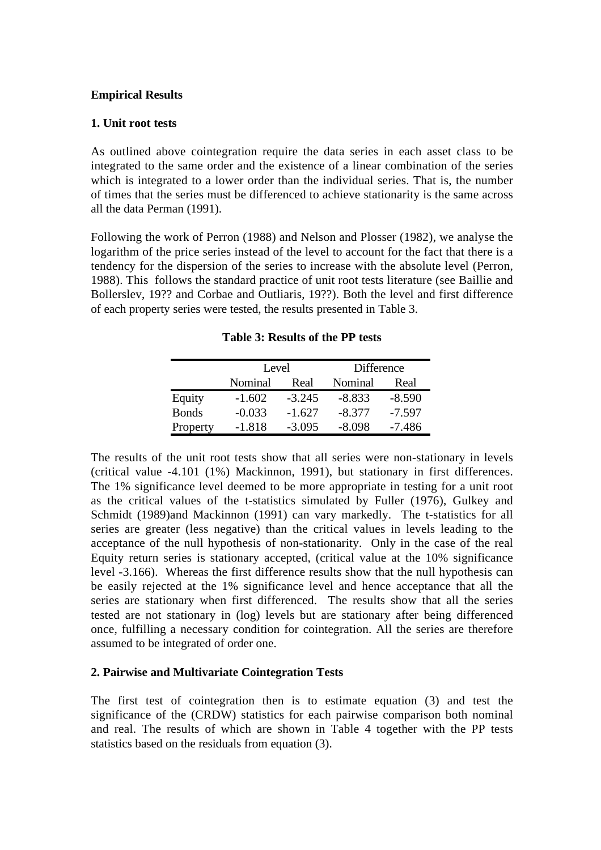# **Empirical Results**

# **1. Unit root tests**

As outlined above cointegration require the data series in each asset class to be integrated to the same order and the existence of a linear combination of the series which is integrated to a lower order than the individual series. That is, the number of times that the series must be differenced to achieve stationarity is the same across all the data Perman (1991).

Following the work of Perron (1988) and Nelson and Plosser (1982), we analyse the logarithm of the price series instead of the level to account for the fact that there is a tendency for the dispersion of the series to increase with the absolute level (Perron, 1988). This follows the standard practice of unit root tests literature (see Baillie and Bollerslev, 19?? and Corbae and Outliaris, 19??). Both the level and first difference of each property series were tested, the results presented in Table 3.

**Table 3: Results of the PP tests**

|              | Level<br>Nominal<br>Real |          | Difference |          |  |
|--------------|--------------------------|----------|------------|----------|--|
|              |                          |          | Nominal    | Real     |  |
| Equity       | $-1.602$                 | $-3.245$ | $-8.833$   | $-8.590$ |  |
| <b>Bonds</b> | $-0.033$                 | $-1.627$ | $-8.377$   | $-7.597$ |  |
| Property     | $-1.818$                 | $-3.095$ | $-8.098$   | -7.486   |  |

The results of the unit root tests show that all series were non-stationary in levels (critical value -4.101 (1%) Mackinnon, 1991), but stationary in first differences. The 1% significance level deemed to be more appropriate in testing for a unit root as the critical values of the t-statistics simulated by Fuller (1976), Gulkey and Schmidt (1989)and Mackinnon (1991) can vary markedly. The t-statistics for all series are greater (less negative) than the critical values in levels leading to the acceptance of the null hypothesis of non-stationarity. Only in the case of the real Equity return series is stationary accepted, (critical value at the 10% significance level -3.166). Whereas the first difference results show that the null hypothesis can be easily rejected at the 1% significance level and hence acceptance that all the series are stationary when first differenced. The results show that all the series tested are not stationary in (log) levels but are stationary after being differenced once, fulfilling a necessary condition for cointegration. All the series are therefore assumed to be integrated of order one.

# **2. Pairwise and Multivariate Cointegration Tests**

The first test of cointegration then is to estimate equation (3) and test the significance of the (CRDW) statistics for each pairwise comparison both nominal and real. The results of which are shown in Table 4 together with the PP tests statistics based on the residuals from equation (3).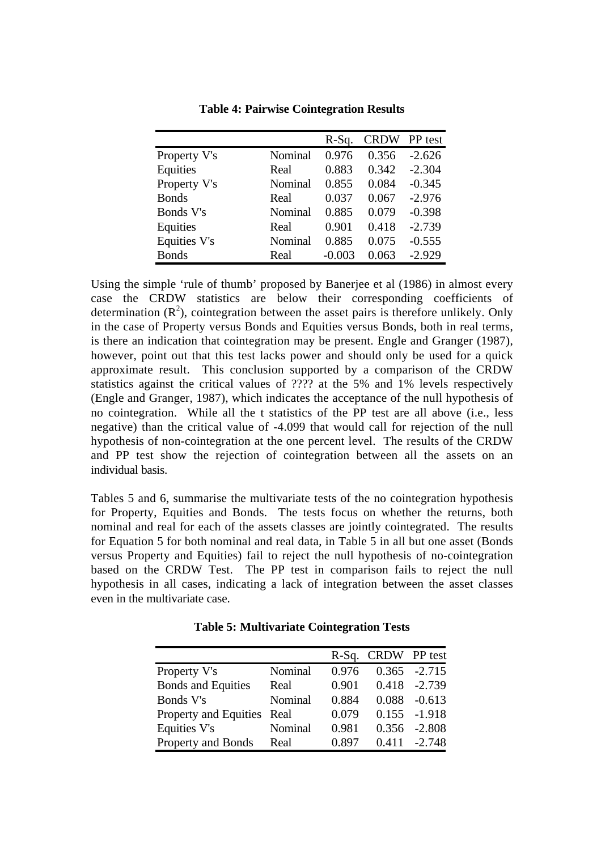|              |         | $R-Sq.$  | <b>CRDW</b> | PP test  |
|--------------|---------|----------|-------------|----------|
| Property V's | Nominal | 0.976    | 0.356       | $-2.626$ |
| Equities     | Real    | 0.883    | 0.342       | $-2.304$ |
| Property V's | Nominal | 0.855    | 0.084       | $-0.345$ |
| <b>Bonds</b> | Real    | 0.037    | 0.067       | $-2.976$ |
| Bonds V's    | Nominal | 0.885    | 0.079       | $-0.398$ |
| Equities     | Real    | 0.901    | 0.418       | $-2.739$ |
| Equities V's | Nominal | 0.885    | 0.075       | $-0.555$ |
| <b>Bonds</b> | Real    | $-0.003$ | 0.063       | $-2.929$ |

**Table 4: Pairwise Cointegration Results**

Using the simple 'rule of thumb' proposed by Banerjee et al (1986) in almost every case the CRDW statistics are below their corresponding coefficients of determination  $(R^2)$ , cointegration between the asset pairs is therefore unlikely. Only in the case of Property versus Bonds and Equities versus Bonds, both in real terms, is there an indication that cointegration may be present. Engle and Granger (1987), however, point out that this test lacks power and should only be used for a quick approximate result. This conclusion supported by a comparison of the CRDW statistics against the critical values of ???? at the 5% and 1% levels respectively (Engle and Granger, 1987), which indicates the acceptance of the null hypothesis of no cointegration. While all the t statistics of the PP test are all above (i.e., less negative) than the critical value of -4.099 that would call for rejection of the null hypothesis of non-cointegration at the one percent level. The results of the CRDW and PP test show the rejection of cointegration between all the assets on an individual basis.

Tables 5 and 6, summarise the multivariate tests of the no cointegration hypothesis for Property, Equities and Bonds. The tests focus on whether the returns, both nominal and real for each of the assets classes are jointly cointegrated. The results for Equation 5 for both nominal and real data, in Table 5 in all but one asset (Bonds versus Property and Equities) fail to reject the null hypothesis of no-cointegration based on the CRDW Test. The PP test in comparison fails to reject the null hypothesis in all cases, indicating a lack of integration between the asset classes even in the multivariate case.

|                            |         |       | R-Sq. CRDW PP test |                 |
|----------------------------|---------|-------|--------------------|-----------------|
| Property V's               | Nominal | 0.976 |                    | $0.365 -2.715$  |
| <b>Bonds and Equities</b>  | Real    | 0.901 |                    | $0.418 - 2.739$ |
| Bonds V's                  | Nominal | 0.884 | 0.088              | $-0.613$        |
| Property and Equities Real |         | 0.079 |                    | $0.155 - 1.918$ |
| Equities V's               | Nominal | 0.981 | 0.356              | $-2.808$        |
| Property and Bonds         | Real    | 0.897 |                    | $0.411 - 2.748$ |

**Table 5: Multivariate Cointegration Tests**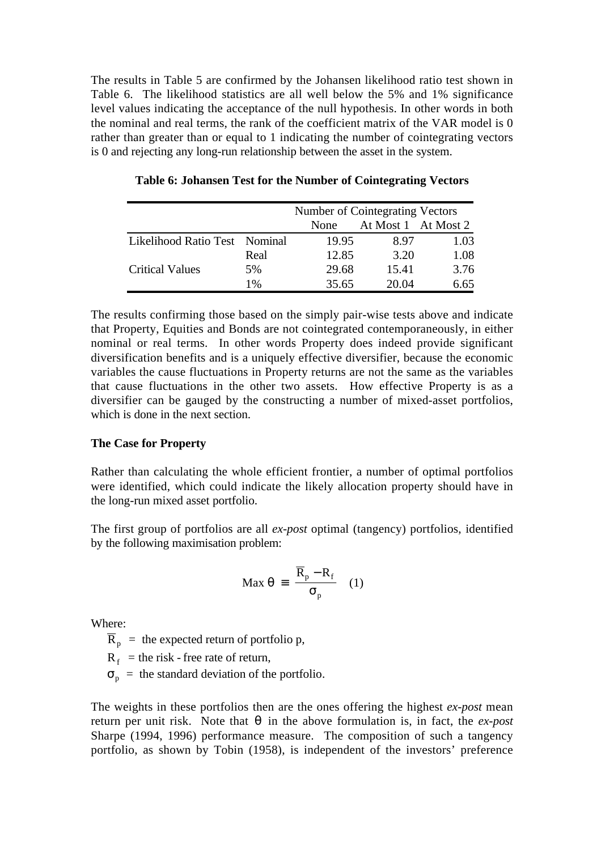The results in Table 5 are confirmed by the Johansen likelihood ratio test shown in Table 6. The likelihood statistics are all well below the 5% and 1% significance level values indicating the acceptance of the null hypothesis. In other words in both the nominal and real terms, the rank of the coefficient matrix of the VAR model is 0 rather than greater than or equal to 1 indicating the number of cointegrating vectors is 0 and rejecting any long-run relationship between the asset in the system.

|                               |      | Number of Cointegrating Vectors |                     |      |  |  |
|-------------------------------|------|---------------------------------|---------------------|------|--|--|
|                               |      | <b>None</b>                     | At Most 1 At Most 2 |      |  |  |
| Likelihood Ratio Test Nominal |      | 19.95                           | 8.97                | 1.03 |  |  |
|                               | Real | 12.85                           | 3.20                | 1.08 |  |  |
| <b>Critical Values</b>        | 5%   | 29.68                           | 15.41               | 3.76 |  |  |
|                               | 1%   | 35.65                           | 20.04               | 6.65 |  |  |

**Table 6: Johansen Test for the Number of Cointegrating Vectors**

The results confirming those based on the simply pair-wise tests above and indicate that Property, Equities and Bonds are not cointegrated contemporaneously, in either nominal or real terms. In other words Property does indeed provide significant diversification benefits and is a uniquely effective diversifier, because the economic variables the cause fluctuations in Property returns are not the same as the variables that cause fluctuations in the other two assets. How effective Property is as a diversifier can be gauged by the constructing a number of mixed-asset portfolios, which is done in the next section.

### **The Case for Property**

Rather than calculating the whole efficient frontier, a number of optimal portfolios were identified, which could indicate the likely allocation property should have in the long-run mixed asset portfolio.

The first group of portfolios are all *ex-post* optimal (tangency) portfolios, identified by the following maximisation problem:

$$
\text{Max } \theta = \frac{\overline{R}_p - R_f}{\sigma_p} \quad (1)
$$

Where:

 $\overline{R}_p$  = the expected return of portfolio p,

 $R_f$  = the risk - free rate of return,

 $\sigma_p$  = the standard deviation of the portfolio.

The weights in these portfolios then are the ones offering the highest *ex-post* mean return per unit risk. Note that θ in the above formulation is, in fact, the *ex-post* Sharpe (1994, 1996) performance measure. The composition of such a tangency portfolio, as shown by Tobin (1958), is independent of the investors' preference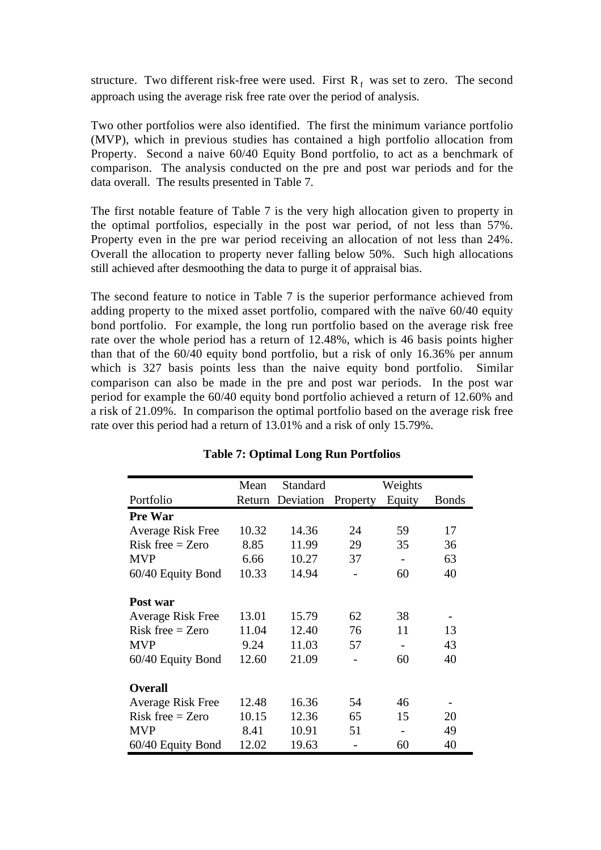structure. Two different risk-free were used. First  $R_f$  was set to zero. The second approach using the average risk free rate over the period of analysis.

Two other portfolios were also identified. The first the minimum variance portfolio (MVP), which in previous studies has contained a high portfolio allocation from Property. Second a naive 60/40 Equity Bond portfolio, to act as a benchmark of comparison. The analysis conducted on the pre and post war periods and for the data overall. The results presented in Table 7.

The first notable feature of Table 7 is the very high allocation given to property in the optimal portfolios, especially in the post war period, of not less than 57%. Property even in the pre war period receiving an allocation of not less than 24%. Overall the allocation to property never falling below 50%. Such high allocations still achieved after desmoothing the data to purge it of appraisal bias.

The second feature to notice in Table 7 is the superior performance achieved from adding property to the mixed asset portfolio, compared with the naïve 60/40 equity bond portfolio. For example, the long run portfolio based on the average risk free rate over the whole period has a return of 12.48%, which is 46 basis points higher than that of the 60/40 equity bond portfolio, but a risk of only 16.36% per annum which is 327 basis points less than the naive equity bond portfolio. Similar comparison can also be made in the pre and post war periods. In the post war period for example the 60/40 equity bond portfolio achieved a return of 12.60% and a risk of 21.09%. In comparison the optimal portfolio based on the average risk free rate over this period had a return of 13.01% and a risk of only 15.79%.

|                          | Mean  | Standard         |          | Weights |              |
|--------------------------|-------|------------------|----------|---------|--------------|
| Portfolio                |       | Return Deviation | Property | Equity  | <b>Bonds</b> |
| <b>Pre War</b>           |       |                  |          |         |              |
| <b>Average Risk Free</b> | 10.32 | 14.36            | 24       | 59      | 17           |
| $Risk$ free = Zero       | 8.85  | 11.99            | 29       | 35      | 36           |
| <b>MVP</b>               | 6.66  | 10.27            | 37       |         | 63           |
| 60/40 Equity Bond        | 10.33 | 14.94            |          | 60      | 40           |
| Post war                 |       |                  |          |         |              |
| <b>Average Risk Free</b> | 13.01 | 15.79            | 62       | 38      |              |
| $Risk$ free = Zero       | 11.04 | 12.40            | 76       | 11      | 13           |
| <b>MVP</b>               | 9.24  | 11.03            | 57       |         | 43           |
| 60/40 Equity Bond        | 12.60 | 21.09            |          | 60      | 40           |
| <b>Overall</b>           |       |                  |          |         |              |
| <b>Average Risk Free</b> | 12.48 | 16.36            | 54       | 46      |              |
| $Risk$ free = Zero       | 10.15 | 12.36            | 65       | 15      | 20           |
| <b>MVP</b>               | 8.41  | 10.91            | 51       |         | 49           |
| 60/40 Equity Bond        | 12.02 | 19.63            |          | 60      | 40           |

# **Table 7: Optimal Long Run Portfolios**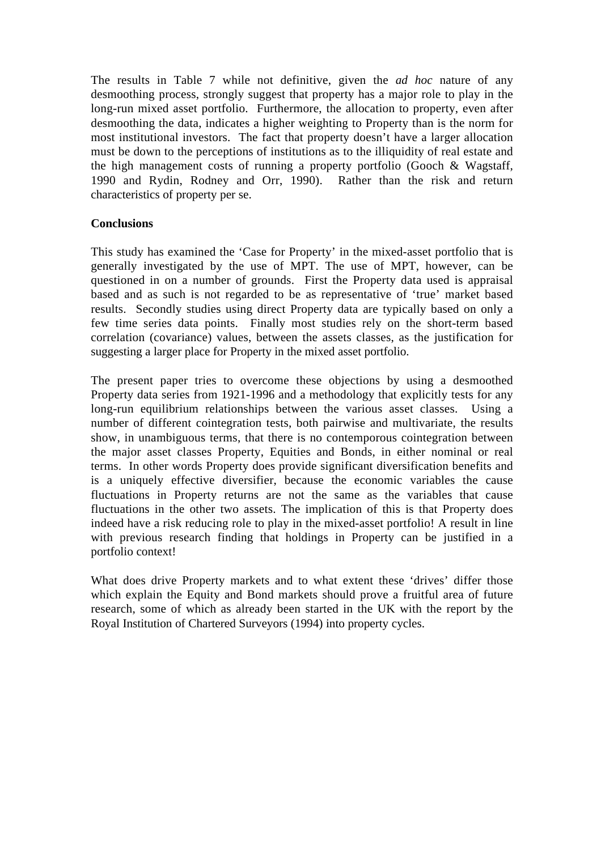The results in Table 7 while not definitive, given the *ad hoc* nature of any desmoothing process, strongly suggest that property has a major role to play in the long-run mixed asset portfolio. Furthermore, the allocation to property, even after desmoothing the data, indicates a higher weighting to Property than is the norm for most institutional investors. The fact that property doesn't have a larger allocation must be down to the perceptions of institutions as to the illiquidity of real estate and the high management costs of running a property portfolio (Gooch & Wagstaff, 1990 and Rydin, Rodney and Orr, 1990). Rather than the risk and return characteristics of property per se.

# **Conclusions**

This study has examined the 'Case for Property' in the mixed-asset portfolio that is generally investigated by the use of MPT. The use of MPT, however, can be questioned in on a number of grounds. First the Property data used is appraisal based and as such is not regarded to be as representative of 'true' market based results. Secondly studies using direct Property data are typically based on only a few time series data points. Finally most studies rely on the short-term based correlation (covariance) values, between the assets classes, as the justification for suggesting a larger place for Property in the mixed asset portfolio.

The present paper tries to overcome these objections by using a desmoothed Property data series from 1921-1996 and a methodology that explicitly tests for any long-run equilibrium relationships between the various asset classes. Using a number of different cointegration tests, both pairwise and multivariate, the results show, in unambiguous terms, that there is no contemporous cointegration between the major asset classes Property, Equities and Bonds, in either nominal or real terms. In other words Property does provide significant diversification benefits and is a uniquely effective diversifier, because the economic variables the cause fluctuations in Property returns are not the same as the variables that cause fluctuations in the other two assets. The implication of this is that Property does indeed have a risk reducing role to play in the mixed-asset portfolio! A result in line with previous research finding that holdings in Property can be justified in a portfolio context!

What does drive Property markets and to what extent these 'drives' differ those which explain the Equity and Bond markets should prove a fruitful area of future research, some of which as already been started in the UK with the report by the Royal Institution of Chartered Surveyors (1994) into property cycles.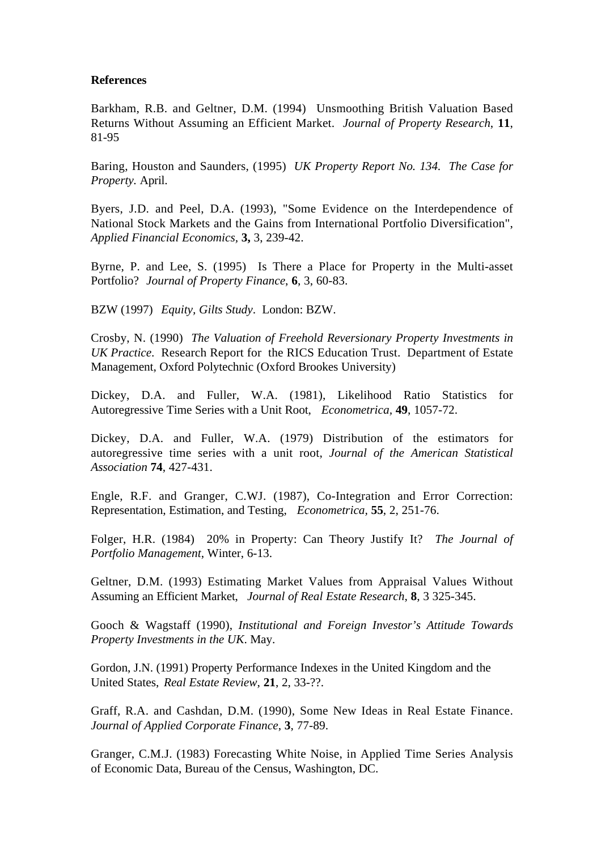### **References**

Barkham, R.B. and Geltner, D.M. (1994) Unsmoothing British Valuation Based Returns Without Assuming an Efficient Market. *Journal of Property Research*, **11**, 81-95

Baring, Houston and Saunders, (1995) *UK Property Report No. 134. The Case for Property.* April.

Byers, J.D. and Peel, D.A. (1993), "Some Evidence on the Interdependence of National Stock Markets and the Gains from International Portfolio Diversification", *Applied Financial Economics,* **3,** 3, 239-42.

Byrne, P. and Lee, S. (1995) Is There a Place for Property in the Multi-asset Portfolio? *Journal of Property Finance*, **6**, 3, 60-83.

BZW (1997) *Equity, Gilts Study*. London: BZW.

Crosby, N. (1990) *The Valuation of Freehold Reversionary Property Investments in UK Practice*. Research Report for the RICS Education Trust. Department of Estate Management, Oxford Polytechnic (Oxford Brookes University)

Dickey, D.A. and Fuller, W.A. (1981), Likelihood Ratio Statistics for Autoregressive Time Series with a Unit Root, *Econometrica,* **49**, 1057-72.

Dickey, D.A. and Fuller, W.A. (1979) Distribution of the estimators for autoregressive time series with a unit root, *Journal of the American Statistical Association* **74**, 427-431.

Engle, R.F. and Granger, C.WJ. (1987), Co-Integration and Error Correction: Representation, Estimation, and Testing, *Econometrica,* **55**, 2, 251-76.

Folger, H.R. (1984) 20% in Property: Can Theory Justify It? *The Journal of Portfolio Management*, Winter, 6-13.

Geltner, D.M. (1993) Estimating Market Values from Appraisal Values Without Assuming an Efficient Market, *Journal of Real Estate Research*, **8**, 3 325-345.

Gooch & Wagstaff (1990), *Institutional and Foreign Investor's Attitude Towards Property Investments in the UK*. May.

Gordon, J.N. (1991) Property Performance Indexes in the United Kingdom and the United States, *Real Estate Review*, **21**, 2, 33-??.

Graff, R.A. and Cashdan, D.M. (1990), Some New Ideas in Real Estate Finance. *Journal of Applied Corporate Finance*, **3**, 77-89.

Granger, C.M.J. (1983) Forecasting White Noise, in Applied Time Series Analysis of Economic Data, Bureau of the Census, Washington, DC.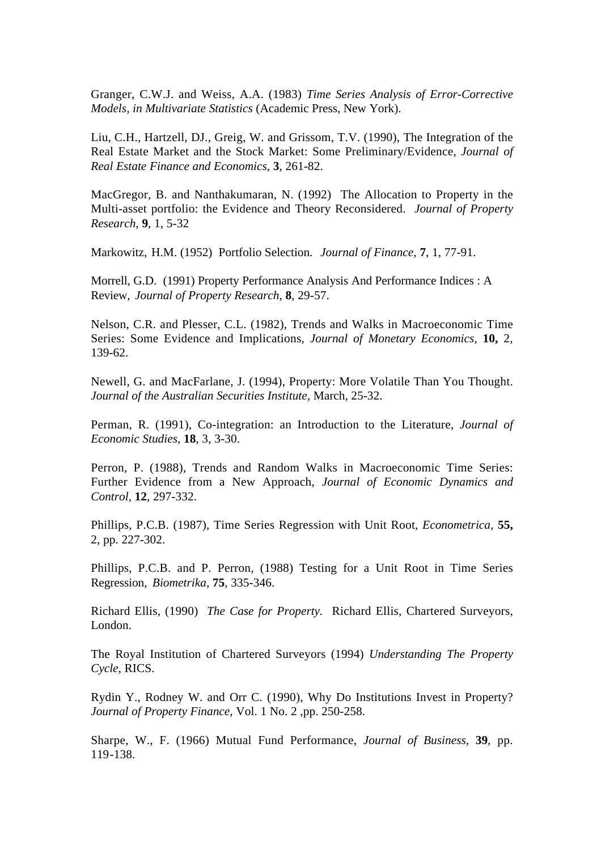Granger, C.W.J. and Weiss, A.A. (1983) *Time Series Analysis of Error-Corrective Models, in Multivariate Statistics* (Academic Press, New York).

Liu, C.H., Hartzell, DJ., Greig, W. and Grissom, T.V. (1990), The Integration of the Real Estate Market and the Stock Market: Some Preliminary/Evidence, *Journal of Real Estate Finance and Economics,* **3**, 261-82.

MacGregor, B. and Nanthakumaran, N. (1992) The Allocation to Property in the Multi-asset portfolio: the Evidence and Theory Reconsidered. *Journal of Property Research*, **9**, 1, 5-32

Markowitz, H.M. (1952) Portfolio Selection. *Journal of Finance*, **7**, 1, 77-91.

Morrell, G.D. (1991) Property Performance Analysis And Performance Indices : A Review, *Journal of Property Research*, **8**, 29-57.

Nelson, C.R. and Plesser, C.L. (1982), Trends and Walks in Macroeconomic Time Series: Some Evidence and Implications, *Journal of Monetary Economics,* **10,** 2, 139-62.

Newell, G. and MacFarlane, J. (1994), Property: More Volatile Than You Thought. *Journal of the Australian Securities Institute,* March, 25-32.

Perman, R. (1991), Co-integration: an Introduction to the Literature, *Journal of Economic Studies,* **18**, 3, 3-30.

Perron, P. (1988), Trends and Random Walks in Macroeconomic Time Series: Further Evidence from a New Approach, *Journal of Economic Dynamics and Control,* **12**, 297-332.

Phillips, P.C.B. (1987), Time Series Regression with Unit Root, *Econometrica,* **55,** 2, pp. 227-302.

Phillips, P.C.B. and P. Perron, (1988) Testing for a Unit Root in Time Series Regression, *Biometrika,* **75**, 335-346.

Richard Ellis, (1990) *The Case for Property.* Richard Ellis, Chartered Surveyors, London.

The Royal Institution of Chartered Surveyors (1994) *Understanding The Property Cycle*, RICS.

Rydin Y., Rodney W. and Orr C. (1990), Why Do Institutions Invest in Property? *Journal of Property Finance*, Vol. 1 No. 2 ,pp. 250-258.

Sharpe, W., F. (1966) Mutual Fund Performance, *Journal of Business,* **39***,* pp. 119-138.